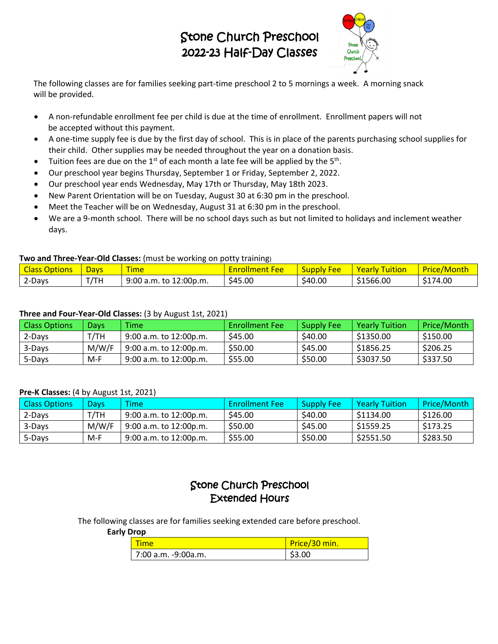# Stone Church Preschool 2022-23 Half-Day Classes



 The following classes are for families seeking part-time preschool 2 to 5 mornings a week. A morning snack will be provided.

- A non-refundable enrollment fee per child is due at the time of enrollment. Enrollment papers will not be accepted without this payment.
- A one-time supply fee is due by the first day of school. This is in place of the parents purchasing school supplies for their child. Other supplies may be needed throughout the year on a donation basis.
- Tuition fees are due on the  $1^{st}$  of each month a late fee will be applied by the  $5^{th}$ .
- Our preschool year begins Thursday, September 1 or Friday, September 2, 2022.
- Our preschool year ends Wednesday, May 17th or Thursday, May 18th 2023.
- New Parent Orientation will be on Tuesday, August 30 at 6:30 pm in the preschool.
- Meet the Teacher will be on Wednesday, August 31 at 6:30 pm in the preschool.
- We are a 9-month school. There will be no school days such as but not limited to holidays and inclement weather days.

### **Two and Three-Year-Old Classes:** (must be working on potty training)

| <b>Options</b><br>Class | <b>Davs</b> | <b><i><u>Property</u></i></b><br><b>Time</b> | Fee<br><b><u> chrollmen</u></b><br>ιч. | Fee<br><b>Supr</b> | $ -$<br><b>Yearly</b><br><b>uition</b> | <b>Drice</b><br>?/ Month<br>™lte. |
|-------------------------|-------------|----------------------------------------------|----------------------------------------|--------------------|----------------------------------------|-----------------------------------|
| 2-Days                  | T/TH        | 9:00 a.m.<br>to 12:00p.m.                    | \$45.00                                | \$40.00            | \$1566.00                              | \$174.00                          |

### **Three and Four-Year-Old Classes:** (3 by August 1st, 2021)

| <b>Class Options</b> | Davs  | <b>Time</b>                 | <b>Enrollment Fee</b> | <b>Supply Fee</b> | <b>Yearly Tuition</b> | Price/Month |
|----------------------|-------|-----------------------------|-----------------------|-------------------|-----------------------|-------------|
| 2-Days               | T/TH  | $9:00$ a.m. to $12:00$ p.m. | \$45.00               | \$40.00           | \$1350.00             | \$150.00    |
| 3-Days               | M/W/F | 9:00 a.m. to 12:00p.m.      | \$50.00               | \$45.00           | \$1856.25             | \$206.25    |
| 5-Days               | $M-F$ | $9:00$ a.m. to 12:00p.m.    | \$55.00               | \$50.00           | \$3037.50             | \$337.50    |

#### **Pre-K Classes:** (4 by August 1st, 2021)

| <b>Class Options</b> | <b>Davs</b> | <b>Time</b>                 | <b>Enrollment Fee</b> | Supply Fee | <b>Yearly Tuition</b> | Price/Month |
|----------------------|-------------|-----------------------------|-----------------------|------------|-----------------------|-------------|
| 2-Days               | T/TH        | 9:00 a.m. to 12:00p.m.      | \$45.00               | \$40.00    | \$1134.00             | \$126.00    |
| 3-Days               | M/W/F       | $9:00$ a.m. to $12:00$ p.m. | \$50.00               | \$45.00    | \$1559.25             | \$173.25    |
| 5-Days               | M-F         | 9:00 a.m. to 12:00p.m.      | \$55.00               | \$50.00    | \$2551.50             | \$283.50    |

## Stone Church Preschool Extended Hours

The following classes are for families seeking extended care before preschool.

### **Early Drop**

| <u>l</u> Time       | Price/30 min. |
|---------------------|---------------|
| 7:00 a.m. -9:00a.m. | \$3.00        |